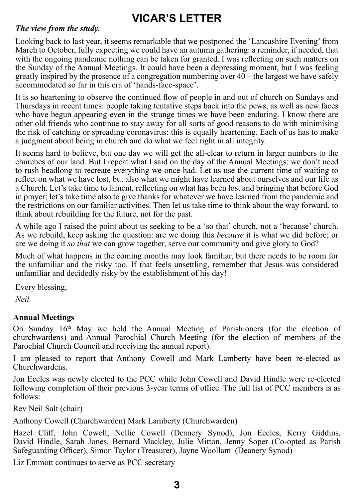# **VICAR'S LETTER**

#### *The view from the study.*

Looking back to last year, it seems remarkable that we postponed the 'Lancashire Evening' from March to October, fully expecting we could have an autumn gathering: a reminder, if needed, that with the ongoing pandemic nothing can be taken for granted. I was reflecting on such matters on the Sunday of the Annual Meetings. It could have been a depressing moment, but I was feeling greatly inspired by the presence of a congregation numbering over  $40 -$  the largest we have safely accommodated so far in this era of 'hands-face-space'.

It is so heartening to observe the continued flow of people in and out of church on Sundays and Thursdays in recent times: people taking tentative steps back into the pews, as well as new faces who have begun appearing even in the strange times we have been enduring. I know there are other old friends who continue to stay away for all sorts of good reasons to do with minimising the risk of catching or spreading coronavirus: this is equally heartening. Each of us has to make a judgment about being in church and do what we feel right in all integrity.

It seems hard to believe, but one day we will get the all-clear to return in larger numbers to the churches of our land. But I repeat what I said on the day of the Annual Meetings: we don't need to rush headlong to recreate everything we once had. Let us use the current time of waiting to reflect on what we have lost, but also what we might have learned about ourselves and our life as a Church. Let's take time to lament, reflecting on what has been lost and bringing that before God in prayer; let's take time also to give thanks for whatever we have learned from the pandemic and the restrictions on our familiar activities. Then let us take time to think about the way forward, to think about rebuilding for the future, not for the past.

A while ago I raised the point about us seeking to be a 'so that' church, not a 'because' church. As we rebuild, keep asking the question: are we doing this *because* it is what we did before; or are we doing it *so that* we can grow together, serve our community and give glory to God?

Much of what happens in the coming months may look familiar, but there needs to be room for the unfamiliar and the risky too. If that feels unsettling, remember that Jesus was considered unfamiliar and decidedly risky by the establishment of his day!

Every blessing,

*Neil.*

## **Annual Meetings**

On Sunday  $16<sup>th</sup>$  May we held the Annual Meeting of Parishioners (for the election of churchwardens) and Annual Parochial Church Meeting (for the election of members of the Parochial Church Council and receiving the annual report).

I am pleased to report that Anthony Cowell and Mark Lamberty have been re-elected as Churchwardens.

Jon Eccles was newly elected to the PCC while John Cowell and David Hindle were re-elected following completion of their previous 3-year terms of office. The full list of PCC members is as follows:

Rev Neil Salt (chair)

Anthony Cowell (Churchwarden) Mark Lamberty (Churchwarden)

Hazel Cliff, John Cowell, Nellie Cowell (Deanery Synod), Jon Eccles, Kerry Giddins, David Hindle, Sarah Jones, Bernard Mackley, Julie Mitton, Jenny Soper (Co-opted as Parish Safeguarding Officer), Simon Taylor (Treasurer), Jayne Woollam (Deanery Synod)

Liz Emmott continues to serve as PCC secretary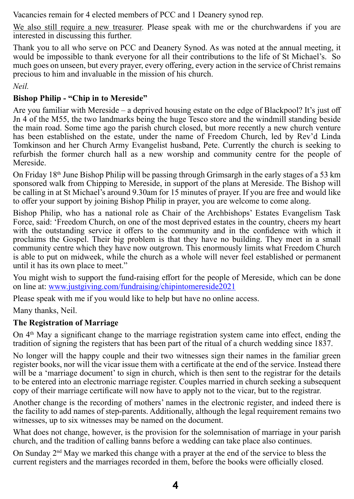Vacancies remain for 4 elected members of PCC and 1 Deanery synod rep.

We also still require a new treasurer. Please speak with me or the churchwardens if you are interested in discussing this further.

Thank you to all who serve on PCC and Deanery Synod. As was noted at the annual meeting, it would be impossible to thank everyone for all their contributions to the life of St Michael's. So much goes on unseen, but every prayer, every offering, every action in the service of Christ remains precious to him and invaluable in the mission of his church.

*Neil.*

## **Bishop Philip - "Chip in to Mereside"**

Are you familiar with Mereside – a deprived housing estate on the edge of Blackpool? It's just off Jn 4 of the M55, the two landmarks being the huge Tesco store and the windmill standing beside the main road. Some time ago the parish church closed, but more recently a new church venture has been established on the estate, under the name of Freedom Church, led by Rev'd Linda Tomkinson and her Church Army Evangelist husband, Pete. Currently the church is seeking to refurbish the former church hall as a new worship and community centre for the people of Mereside.

On Friday  $18<sup>th</sup>$  June Bishop Philip will be passing through Grimsargh in the early stages of a 53 km sponsored walk from Chipping to Mereside, in support of the plans at Mereside. The Bishop will be calling in at St Michael's around 9.30am for 15 minutes of prayer. If you are free and would like to offer your support by joining Bishop Philip in prayer, you are welcome to come along.

Bishop Philip, who has a national role as Chair of the Archbishops' Estates Evangelism Task Force, said: 'Freedom Church, on one of the most deprived estates in the country, cheers my heart with the outstanding service it offers to the community and in the confidence with which it proclaims the Gospel. Their big problem is that they have no building. They meet in a small community centre which they have now outgrown. This enormously limits what Freedom Church is able to put on midweek, while the church as a whole will never feel established or permanent until it has its own place to meet."

You might wish to support the fund-raising effort for the people of Mereside, which can be done on line at: www.justgiving.com/fundraising/chipintomereside2021

Please speak with me if you would like to help but have no online access.

Many thanks, Neil.

## **The Registration of Marriage**

On  $4<sup>th</sup>$  May a significant change to the marriage registration system came into effect, ending the tradition of signing the registers that has been part of the ritual of a church wedding since 1837.

No longer will the happy couple and their two witnesses sign their names in the familiar green register books, nor will the vicar issue them with a certificate at the end of the service. Instead there will be a 'marriage document' to sign in church, which is then sent to the registrar for the details to be entered into an electronic marriage register. Couples married in church seeking a subsequent copy of their marriage certificate will now have to apply not to the vicar, but to the registrar.

Another change is the recording of mothers' names in the electronic register, and indeed there is the facility to add names of step-parents. Additionally, although the legal requirement remains two witnesses, up to six witnesses may be named on the document.

What does not change, however, is the provision for the solemnisation of marriage in your parish church, and the tradition of calling banns before a wedding can take place also continues.

On Sunday  $2<sup>nd</sup>$  May we marked this change with a prayer at the end of the service to bless the current registers and the marriages recorded in them, before the books were officially closed.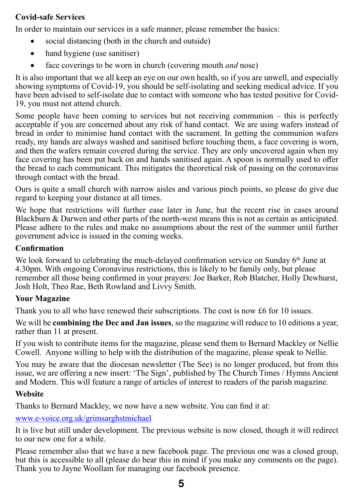## **Covid-safe Services**

In order to maintain our services in a safe manner, please remember the basics:

- social distancing (both in the church and outside)
- hand hygiene (use sanitiser)
- � face coverings to be worn in church (covering mouth *and* nose)

It is also important that we all keep an eye on our own health, so if you are unwell, and especially showing symptoms of Covid-19, you should be self-isolating and seeking medical advice. If you have been advised to self-isolate due to contact with someone who has tested positive for Covid-19, you must not attend church.

Some people have been coming to services but not receiving communion – this is perfectly acceptable if you are concerned about any risk of hand contact. We are using wafers instead of bread in order to minimise hand contact with the sacrament. In getting the communion wafers ready, my hands are always washed and sanitised before touching them, a face covering is worn, and then the wafers remain covered during the service. They are only uncovered again when my face covering has been put back on and hands sanitised again. A spoon is normally used to offer the bread to each communicant. This mitigates the theoretical risk of passing on the coronavirus through contact with the bread.

Ours is quite a small church with narrow aisles and various pinch points, so please do give due regard to keeping your distance at all times.

We hope that restrictions will further ease later in June, but the recent rise in cases around Blackburn & Darwen and other parts of the north-west means this is not as certain as anticipated. Please adhere to the rules and make no assumptions about the rest of the summer until further government advice is issued in the coming weeks.

## **Confirmation**

We look forward to celebrating the much-delayed confirmation service on Sunday  $6<sup>th</sup>$  June at 4.30pm. With ongoing Coronavirus restrictions, this is likely to be family only, but please remember all those being confirmed in your prayers: Joe Barker, Rob Blatcher, Holly Dewhurst, Josh Holt, Theo Rae, Beth Rowland and Livvy Smith.

## **Your Magazine**

Thank you to all who have renewed their subscriptions. The cost is now £6 for 10 issues.

We will be **combining the Dec and Jan issues**, so the magazine will reduce to 10 editions a year, rather than 11 at present.

If you wish to contribute items for the magazine, please send them to Bernard Mackley or Nellie Cowell. Anyone willing to help with the distribution of the magazine, please speak to Nellie.

You may be aware that the diocesan newsletter (The See) is no longer produced, but from this issue, we are offering a new insert: 'The Sign', published by The Church Times / Hymns Ancient and Modern. This will feature a range of articles of interest to readers of the parish magazine.

## **Website**

Thanks to Bernard Mackley, we now have a new website. You can find it at:

## www.e-voice.org.uk/grimsarghstmichael

It is live but still under development. The previous website is now closed, though it will redirect to our new one for a while.

Please remember also that we have a new facebook page. The previous one was a closed group, but this is accessible to all (please do bear this in mind if you make any comments on the page). Thank you to Jayne Woollam for managing our facebook presence.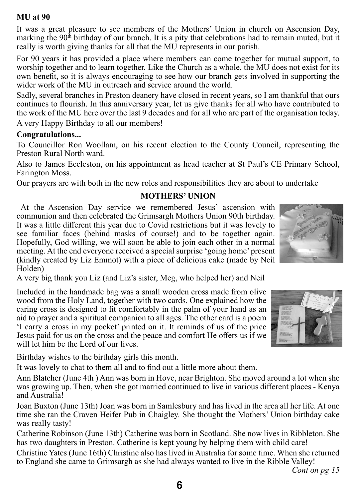#### **MU at 90**

It was a great pleasure to see members of the Mothers' Union in church on Ascension Day, marking the  $90<sup>th</sup>$  birthday of our branch. It is a pity that celebrations had to remain muted, but it really is worth giving thanks for all that the MU represents in our parish.

For 90 years it has provided a place where members can come together for mutual support, to worship together and to learn together. Like the Church as a whole, the MU does not exist for its own benefit, so it is always encouraging to see how our branch gets involved in supporting the wider work of the MU in outreach and service around the world.

Sadly, several branches in Preston deanery have closed in recent years, so I am thankful that ours continues to flourish. In this anniversary year, let us give thanks for all who have contributed to the work of the MU here over the last 9 decades and for all who are part of the organisation today. A very Happy Birthday to all our members!

#### **Congratulations...**

To Councillor Ron Woollam, on his recent election to the County Council, representing the Preston Rural North ward.

Also to James Eccleston, on his appointment as head teacher at St Paul's CE Primary School, Farington Moss.

Our prayers are with both in the new roles and responsibilities they are about to undertake

## **MOTHERS' UNION**

At the Ascension Day service we remembered Jesus' ascension with communion and then celebrated the Grimsargh Mothers Union 90th birthday. It was a little different this year due to Covid restrictions but it was lovely to see familiar faces (behind masks of course!) and to be together again. Hopefully, God willing, we will soon be able to join each other in a normal meeting. At the end everyone received a special surprise 'going home' present (kindly created by Liz Emmot) with a piece of delicious cake (made by Neil Holden)

A very big thank you Liz (and Liz's sister, Meg, who helped her) and Neil

Included in the handmade bag was a small wooden cross made from olive wood from the Holy Land, together with two cards. One explained how the caring cross is designed to fit comfortably in the palm of your hand as an aid to prayer and a spiritual companion to all ages. The other card is a poem 'I carry a cross in my pocket' printed on it. It reminds of us of the price Jesus paid for us on the cross and the peace and comfort He offers us if we will let him be the Lord of our lives.

Birthday wishes to the birthday girls this month.

It was lovely to chat to them all and to find out a little more about them.

Ann Blatcher (June 4th ) Ann was born in Hove, near Brighton. She moved around a lot when she was growing up. Then, when she got married continued to live in various different places - Kenya and Australia!

Joan Buxton (June 13th) Joan was born in Samlesbury and has lived in the area all her life. At one time she ran the Craven Heifer Pub in Chaigley. She thought the Mothers' Union birthday cake was really tasty!

Catherine Robinson (June 13th) Catherine was born in Scotland. She now lives in Ribbleton. She has two daughters in Preston. Catherine is kept young by helping them with child care!

Christine Yates (June 16th) Christine also has lived in Australia for some time. When she returned to England she came to Grimsargh as she had always wanted to live in the Ribble Valley!

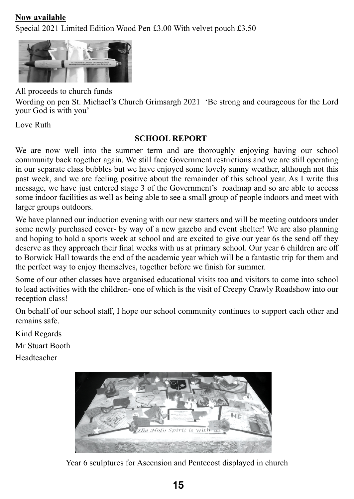## **Now available**

Special 2021 Limited Edition Wood Pen £3.00 With velvet pouch £3.50



All proceeds to church funds

Wording on pen St. Michael's Church Grimsargh 2021 'Be strong and courageous for the Lord your God is with you'

Love Ruth

## **SCHOOL REPORT**

We are now well into the summer term and are thoroughly enjoying having our school community back together again. We still face Government restrictions and we are still operating in our separate class bubbles but we have enjoyed some lovely sunny weather, although not this past week, and we are feeling positive about the remainder of this school year. As I write this message, we have just entered stage 3 of the Government's roadmap and so are able to access some indoor facilities as well as being able to see a small group of people indoors and meet with larger groups outdoors.

We have planned our induction evening with our new starters and will be meeting outdoors under some newly purchased cover- by way of a new gazebo and event shelter! We are also planning and hoping to hold a sports week at school and are excited to give our year 6s the send off they deserve as they approach their final weeks with us at primary school. Our year 6 children are off to Borwick Hall towards the end of the academic year which will be a fantastic trip for them and the perfect way to enjoy themselves, together before we finish for summer.

Some of our other classes have organised educational visits too and visitors to come into school to lead activities with the children- one of which is the visit of Creepy Crawly Roadshow into our reception class!

On behalf of our school staff, I hope our school community continues to support each other and remains safe.

Kind Regards Mr Stuart Booth Headteacher



Year 6 sculptures for Ascension and Pentecost displayed in church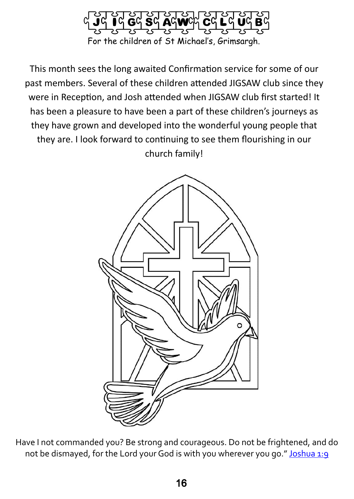

This month sees the long awaited Confirmation service for some of our past members. Several of these children attended JIGSAW club since they were in Reception, and Josh attended when JIGSAW club first started! It has been a pleasure to have been a part of these children's journeys as they have grown and developed into the wonderful young people that they are. I look forward to continuing to see them flourishing in our church family!



Have I not commanded you? Be strong and courageous. Do not be frightened, and do not be dismayed, for the Lord your God is with you wherever you go."Joshua 1:9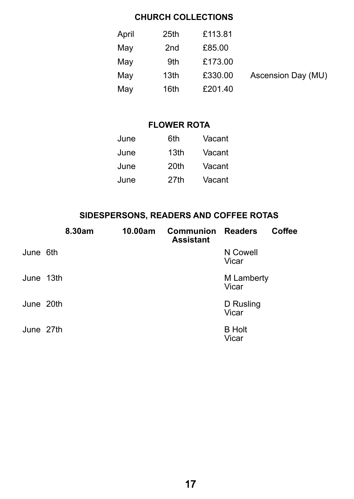## **CHURCH COLLECTIONS**

| April | 25th | £113.81 |                    |
|-------|------|---------|--------------------|
| May   | 2nd  | £85.00  |                    |
| May   | 9th  | £173.00 |                    |
| May   | 13th | £330.00 | Ascension Day (MU) |
| May   | 16th | £201.40 |                    |

## **FLOWER ROTA**

| June | 6th  | Vacant |
|------|------|--------|
| June | 13th | Vacant |
| June | 20th | Vacant |
| June | 27th | Vacant |

## **SIDESPERSONS, READERS AND COFFEE ROTAS**

|           | 8.30am | 10.00am | <b>Communion Readers</b><br><b>Assistant</b> |                        | Coffee |
|-----------|--------|---------|----------------------------------------------|------------------------|--------|
| June 6th  |        |         |                                              | N Cowell<br>Vicar      |        |
| June 13th |        |         |                                              | M Lamberty<br>Vicar    |        |
| June 20th |        |         |                                              | D Rusling<br>Vicar     |        |
| June 27th |        |         |                                              | <b>B</b> Holt<br>Vicar |        |